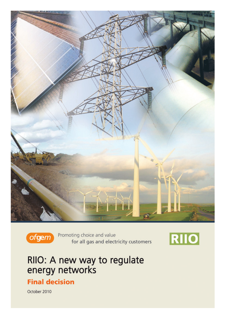



Promoting choice and value for all gas and electricity customers



# RIIO: A new way to regulate<br>energy networks

#### **Final decision**

October 2010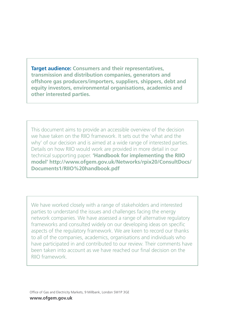**Target audience: Consumers and their representatives, transmission and distribution companies, generators and offshore gas producers/importers, suppliers, shippers, debt and equity investors, environmental organisations, academics and other interested parties.**

This document aims to provide an accessible overview of the decision we have taken on the RIIO framework. It sets out the 'what and the why' of our decision and is aimed at a wide range of interested parties. Details on how RIIO would work are provided in more detail in our technical supporting paper. **'Handbook for implementing the RIIO model' http://www.ofgem.gov.uk/Networks/rpix20/ConsultDocs/ Documents1/RIIO%20handbook.pdf**

We have worked closely with a range of stakeholders and interested parties to understand the issues and challenges facing the energy network companies. We have assessed a range of alternative regulatory frameworks and consulted widely on our developing ideas on specific aspects of the regulatory framework. We are keen to record our thanks to all of the companies, academics, organisations and individuals who have participated in and contributed to our review. Their comments have been taken into account as we have reached our final decision on the RIIO framework.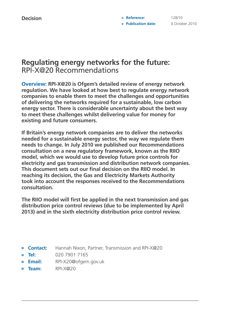#### **Regulating energy networks for the future:** RPI-X@20 Recommendations

**Overview: RPI-X@20 is Ofgem's detailed review of energy network regulation. We have looked at how best to regulate energy network companies to enable them to meet the challenges and opportunities of delivering the networks required for a sustainable, low carbon energy sector. There is considerable uncertainty about the best way to meet these challenges whilst delivering value for money for existing and future consumers.** 

**If Britain's energy network companies are to deliver the networks needed for a sustainable energy sector, the way we regulate them needs to change. In July 2010 we published our Recommendations consultation on a new regulatory framework, known as the RIIO model, which we would use to develop future price controls for electricity and gas transmission and distribution network companies. This document sets out our final decision on the RIIO model. In reaching its decision, the Gas and Electricity Markets Authority took into account the responses received to the Recommendations consultation.**

**The RIIO model will first be applied in the next transmission and gas distribution price control reviews (due to be implemented by April 2013) and in the sixth electricity distribution price control review.**

- **Contact:** Hannah Nixon, Partner, Transmission and RPI-X@20 **»**
- **Tel:** 020 7901 7165 **»**
- **Email:** RPI-X20@ofgem.gov.uk **»**
- **Team:** RPI-X@20 **»**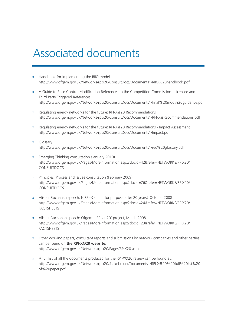## Associated documents

- **»** Handbook for implementing the RIIO model http://www.ofgem.gov.uk/Networks/rpix20/ConsultDocs/Documents1/RIIO%20handbook.pdf
- **»** A Guide to Price Control Modification References to the Competition Commission Licensee and Third Party Triggered References http://www.ofgem.gov.uk/Networks/rpix20/ConsultDocs/Documents1/final%20mod%20guidance.pdf
- **»** Regulating energy networks for the future: RPI-X@20 Recommendations http://www.ofgem.gov.uk/Networks/rpix20/ConsultDocs/Documents1/RPI-X@Recommendations.pdf
- **»** Regulating energy networks for the future: RPI-X@20 Recommendations Impact Assessment http://www.ofgem.gov.uk/Networks/rpix20/ConsultDocs/Documents1/Impact.pdf
- **»** Glossary http://www.ofgem.gov.uk/Networks/rpix20/ConsultDocs/Documents1/rec%20glossary.pdf
- **»** Emerging Thinking consultation (January 2010) http://www.ofgem.gov.uk/Pages/MoreInformation.aspx?docid=42&refer=NETWORKS/RPIX20/ CONSULTDOCS
- **»** Principles, Process and Issues consultation (February 2009) http://www.ofgem.gov.uk/Pages/MoreInformation.aspx?docid=76&refer=NETWORKS/RPIX20/ CONSULTDOCS
- **»** Alistair Buchanan speech: Is RPI-X still fit for purpose after 20 years? October 2008 http://www.ofgem.gov.uk/Pages/MoreInformation.aspx?docid=24&refer=NETWORKS/RPIX20/ **FACTSHEETS**
- **»** Alistair Buchanan speech: Ofgem's 'RPI at 20' project, March 2008 http://www.ofgem.gov.uk/Pages/MoreInformation.aspx?docid=23&refer=NETWORKS/RPIX20/ **FACTSHEETS**
- **»** Other working papers, consultant reports and submissions by network companies and other parties can be found on **the RPI-X@20 website:**  http://www.ofgem.gov.uk/Networks/rpix20/Pages/RPIX20.aspx
- **»** A full list of all the documents produced for the RPI-X@20 review can be found at: http://www.ofgem.gov.uk/Networks/rpix20/Stakeholder/Documents1/RPI-X@20%20full%20list%20 of%20paper.pdf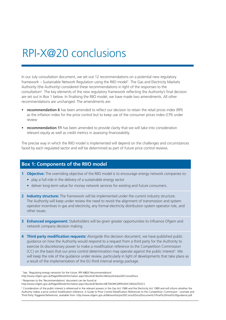### RPI-X@20 conclusions

In our July consultation document, we set out 12 recommendations on a potential new regulatory framework – Sustainable Network Regulation using the RIIO model1 . The Gas and Electricity Markets Authority (the Authority) considered these recommendations in light of the responses to the consultation2 . The key elements of the new regulatory framework reflecting the Authority's final decision are set out in Box 1 below. In finalising the RIIO model, we have made two amendments. All other recommendations are unchanged. The amendments are:

- **recommendation 6** has been amended to reflect our decision to retain the retail prices index (RPI) as the inflation index for the price control but to keep use of the consumer prices index (CPI) under review
- **recommendation 11** has been amended to provide clarity that we will take into consideration relevant equity as well as credit metrics in assessing financeability.

The precise way in which the RIIO model is implemented will depend on the challenges and circumstances faced by each regulated sector and will be determined as part of future price control reviews.

#### **Box 1: Components of the RIIO model**

- **1 Objective:** The overriding objective of the RIIO model is to encourage energy network companies to:
	- play a full role in the delivery of a sustainable energy sector
	- deliver long-term value for money network services for existing and future consumers.
- **2 Industry structure:** The framework will be implemented under the current industry structure. The Authority will keep under review the need to revisit the alignment of transmission and system operator incentives in gas and electricity, any formal electricity distribution system operator role, and other issues.
- **3 Enhanced engagement:** Stakeholders will be given greater opportunities to influence Ofgem and network company decision making.
- **4 Third party modification requests:** Alongside this decision document, we have published public guidance on how the Authority would respond to a request from a third party for the Authority to exercise its discretionary power to make a modification reference to the Competition Commission (CC) on the basis that our price control determination may operate against the public interest<sup>3</sup>. We will keep the role of the guidance under review, particularly in light of developments that take place as a result of the implementation of the EU third internal energy package.

<sup>&</sup>lt;sup>1</sup> See, 'Regulating energy networks for the future: RPI-X@20 Recommendations'

http://www.ofgem.gov.uk/Pages/MoreInformation.aspx?docid=81&refer=Networks/rpix20/ConsultDocs

<sup>2</sup> Responses to the 'Recommendations' document can be found at

http://www.ofgem.gov.uk/Pages/MoreInformation.aspx?docid=87&refer=NETWORKS/RPIX20/CONSULTDOCS

<sup>&</sup>lt;sup>3</sup> Consideration of the public interest is referenced in the relevant powers in the Gas Act 1986 and the Electricity Act 1989 and will inform whether the Authority makes a price control modification reference. A Guide to Price Control Modification References to the Competition Commission - Licensee and Third Party Triggered References, available from: http://www.ofgem.gov.uk/Networks/rpix20/ConsultDocs/Documents1/final%20mod%20guidance.pdf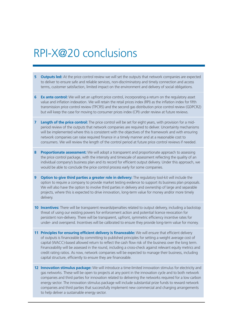### RPI-X@20 conclusions

- **5 Outputs led:** At the price control review we will set the outputs that network companies are expected to deliver to ensure safe and reliable services, non-discriminatory and timely connection and access terms, customer satisfaction, limited impact on the environment and delivery of social obligations.
- **6 Ex ante control:** We will set an upfront price control, incorporating a return on the regulatory asset value and inflation indexation. We will retain the retail prices index (RPI) as the inflation index for fifth transmission price control review (TPCR5) and the second gas distribution price control review (GDPCR2) but will keep the case for moving to consumer prices index (CPI) under review at future reviews.
- **7 Length of the price control:** The price control will be set for eight years, with provision for a midperiod review of the outputs that network companies are required to deliver. Uncertainty mechanisms will be implemented where this is consistent with the objectives of the framework and with ensuring network companies can raise required finance in a timely manner and at a reasonable cost to consumers. We will review the length of the control period at future price control reviews if needed.
- **8 Proportionate assessment:** We will adopt a transparent and proportionate approach to assessing the price control package, with the intensity and timescale of assessment reflecting the quality of an individual company's business plan and its record for efficient output delivery. Under this approach, we would be able to conclude the price control process early for some companies.
- **9 Option to give third parties a greater role in delivery:** The regulatory tool-kit will include the option to require a company to provide market testing evidence to support its business plan proposals. We will also have the option to involve third parties in delivery and ownership of large and separable projects, where this is expected to drive innovation, long-term value for money and/or more timely delivery.
- **10 Incentives:** There will be transparent rewards/penalties related to output delivery, including a backstop threat of using our existing powers for enforcement action and potential licence revocation for persistent non-delivery. There will be transparent, upfront, symmetric efficiency incentive rates for under- and overspend. Incentives will be calibrated to ensure they provide long-term value for money.
- **11 Principles for ensuring efficient delivery is financeable:** We will ensure that efficient delivery of outputs is financeable by committing to published principles for setting a weight average cost of capital (WACC)-based allowed return to reflect the cash flow risk of the business over the long term. Financeability will be assessed in the round, including a cross-check against relevant equity metrics and credit rating ratios. As now, network companies will be expected to manage their business, including capital structure, efficiently to ensure they are financeable.
- **12 Innovation stimulus package:** We will introduce a time-limited innovation stimulus for electricity and gas networks. These will be open to projects at any point in the innovation cycle and to both network companies and third parties for innovation related to delivering the networks required for a low carbon energy sector. The innovation stimulus package will include substantial prize funds to reward network companies and third parties that successfully implement new commercial and charging arrangements to help deliver a sustainable energy sector.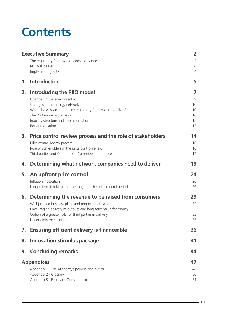# **Contents**

| <b>Executive Summary</b> |                                                                                                                         | $\overline{2}$                   |
|--------------------------|-------------------------------------------------------------------------------------------------------------------------|----------------------------------|
|                          | The regulatory framework needs to change                                                                                | $\overline{2}$                   |
|                          | RIIO will deliver<br>Implementing RIIO                                                                                  | $\overline{4}$<br>$\overline{4}$ |
| 1.                       | <b>Introduction</b>                                                                                                     | 5                                |
| 2.                       | Introducing the RIIO model                                                                                              | 7                                |
|                          | Changes in the energy sector                                                                                            | 9                                |
|                          | Changes in the energy networks                                                                                          | 10                               |
|                          | What do we want the future regulatory framework to deliver?<br>The RIIO model - the vision                              | 10<br>10                         |
|                          | Industry structure and implementation                                                                                   | 12                               |
|                          | Better regulation                                                                                                       | 13                               |
| 3.                       | Price control review process and the role of stakeholders                                                               | 14                               |
|                          | Price control review process                                                                                            | 16                               |
|                          | Role of stakeholders in the price control review<br>Third parties and Competition Commission references                 | 16<br>17                         |
|                          |                                                                                                                         |                                  |
| 4.                       | Determining what network companies need to deliver                                                                      | 19                               |
| 5.                       | An upfront price control                                                                                                | 24                               |
|                          | Inflation indexation                                                                                                    | 26                               |
|                          | Longer-term thinking and the length of the price control period                                                         | 26                               |
| 6.                       | Determining the revenue to be raised from consumers                                                                     | 29                               |
|                          | Well-justified business plans and proportionate assessment                                                              | 32                               |
|                          | Encouraging delivery of outputs and long-term value for money<br>Option of a greater role for third parties in delivery | 33<br>33                         |
|                          | Uncertainty mechanisms                                                                                                  | 35                               |
| 7.                       | <b>Ensuring efficient delivery is financeable</b>                                                                       | 36                               |
| 8.                       | <b>Innovation stimulus package</b>                                                                                      | 41                               |
| 9.                       | <b>Concluding remarks</b>                                                                                               | 44                               |
| <b>Appendices</b>        |                                                                                                                         |                                  |
|                          | Appendix 1 - The Authority's powers and duties                                                                          | 48                               |
|                          | Appendix 2 - Glossary                                                                                                   | 50                               |
|                          | Appendix 3 - Feedback Questionnaire                                                                                     | 51                               |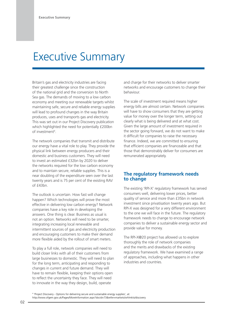### Executive Summary

Britain's gas and electricity industries are facing their greatest challenge since the construction of the national grid and the conversion to North Sea gas. The demands of moving to a low carbon economy and meeting our renewable targets whilst maintaining safe, secure and reliable energy supplies will lead to profound changes in the way Britain produces, uses and transports gas and electricity. This was set out in our Project Discovery publication which highlighted the need for potentially £200bn of investment<sup>4</sup>.

The network companies that transmit and distribute our energy have a vital role to play. They provide the physical link between energy producers and their domestic and business customers. They will need to invest an estimated £32bn by 2020 to deliver the networks required for the low carbon economy and to maintain secure, reliable supplies. This is a near doubling of the expenditure seen over the last twenty years and is 75 per cent of the existing RAV of £43bn.

The outlook is uncertain. How fast will change happen? Which technologies will prove the most effective in delivering low carbon energy? Network companies have a key role in developing the answers. One thing is clear. Business as usual is not an option. Networks will need to be smarter, integrating increasing local renewable and intermittent sources of gas and electricity production and encouraging customers to make their demand more flexible aided by the rollout of smart meters.

To play a full role, network companies will need to build closer links with all of their customers from large businesses to domestic. They will need to plan for the long term, anticipating and responding to changes in current and future demand. They will have to remain flexible, keeping their options open to reflect the uncertainty they face. They will need to innovate in the way they design, build, operate

and charge for their networks to deliver smarter networks and encourage customers to change their behaviour.

The scale of investment required means higher energy bills are almost certain. Network companies will have to show consumers that they are getting value for money over the longer term, setting out clearly what is being delivered and at what cost. Given the large amount of investment required in the sector going forward, we do not want to make it difficult for companies to raise the necessary finance. Indeed, we are committed to ensuring that efficient companies are financeable and that those that demonstrably deliver for consumers are remunerated appropriately.

#### **The regulatory framework needs to change**

The existing 'RPI-X' regulatory framework has served consumers well, delivering lower prices, better quality of service and more than £35bn in network investment since privatisation twenty years ago. But RPI-X was designed for a very different environment to the one we will face in the future. The regulatory framework needs to change to encourage network companies to deliver a sustainable energy sector and provide value for money.

The RPI-X@20 project has allowed us to explore thoroughly the role of network companies and the merits and drawbacks of the existing regulatory framework. We have examined a range of approaches, including what happens in other industries and countries.

4 'Project Discovery - Options for delivering secure and sustainable energy supplies', at: http://www.ofgem.gov.uk/Pages/MoreInformation.aspx?docid=73&refer=markets/whlmkts/discovery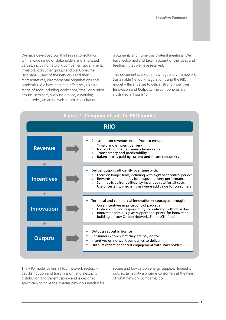We have developed our thinking in consultation with a wide range of stakeholders and interested parties, including network companies, government, investors, consumer groups and our Consumer First panel, users of the networks and their representatives, environmental organisations and academics. We have engaged effectively using a range of tools including workshops, small discussion groups, seminars, working groups, a working paper series, an active web forum, consultation

documents and numerous bilateral meetings. We have welcomed and taken account of the ideas and feedback that we have received.

This document sets out a new regulatory framework: Sustainable Network Regulation using the RIIO model – **R**evenue set to deliver strong **I**ncentives, **I**nnovation and **O**utputs. The components are illustrated in Figure 1.



The RIIO model covers all four network sectors – gas distribution and transmission, and electricity distribution and transmission – and is designed specifically to drive the smarter networks needed for secure and low carbon energy supplies. Indeed it puts sustainability alongside consumers at the heart of what network companies do.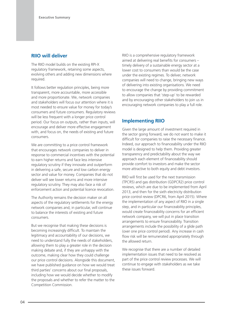#### **RIIO will deliver**

The RIIO model builds on the existing RPI-X regulatory framework, retaining some aspects, evolving others and adding new dimensions where required.

It follows better regulation principles, being more transparent, more accountable, more accessible and more proportionate. We, network companies and stakeholders will focus our attention where it is most needed to ensure value for money for today's consumers and future consumers. Regulatory reviews will be less frequent with a longer price control period. Our focus on outputs, rather than inputs, will encourage and deliver more effective engagement with, and focus on, the needs of existing and future consumers.

We are committing to a price control framework that encourages network companies to deliver in response to commercial incentives with the potential to earn higher returns and face less intensive regulatory scrutiny if they innovate and outperform in delivering a safe, secure and low carbon energy sector and value for money. Companies that do not deliver will see lower returns and more intensive regulatory scrutiny. They may also face a risk of enforcement action and potential licence revocation.

The Authority remains the decision maker on all aspects of the regulatory settlements for the energy network companies and, in particular, will continue to balance the interests of existing and future consumers.

But we recognise that making these decisions is becoming increasingly difficult. To maintain the legitimacy and accountability of our decisions, we need to understand fully the needs of stakeholders, allowing them to play a greater role in the decision making debate and, if they are unhappy with the outcome, making clear how they could challenge our price control decisions. Alongside this document, we have published guidance on how we would treat third parties' concerns about our final proposals, including how we would decide whether to modify the proposals and whether to refer the matter to the Competition Commission.

RIIO is a comprehensive regulatory framework aimed at delivering real benefits for consumers – timely delivery of a sustainable energy sector at a lower cost to consumers than would be the case under the existing regimes. To deliver, network companies will need to change, bringing new ways of delivering into existing organisations. We need to encourage the change by providing commitment to allow companies that 'step-up' to be rewarded and by encouraging other stakeholders to join us in encouraging network companies to play a full role.

#### **Implementing RIIO**

Given the large amount of investment required in the sector going forward, we do not want to make it difficult for companies to raise the necessary finance. Indeed, our approach to financeability under the RIIO model is designed to help them. Providing greater transparency and predictability about the way we approach each element of financeability should provide comfort to investors and make the sector more attractive to both equity and debt investors.

RIIO will first be used for the next transmission (TPCR5) and gas distribution (GDPCR2) price control reviews, which are due to be implemented from April 2013, and then for the sixth electricity distribution price control review (DPCR6, from April 2015). Where the implementation of any aspect of RIIO in a single step, and in particular our financeability principles, would create financeability concerns for an efficient network company, we will put in place transition arrangements to ensure financeability. Transition arrangements include the possibility of a glide path (over one price control period). Any increase in cash flow risk will be remunerated appropriately through the allowed return.

We recognise that there are a number of detailed implementation issues that need to be resolved as part of the price control review processes. We will continue to engage with stakeholders as we take these issues forward.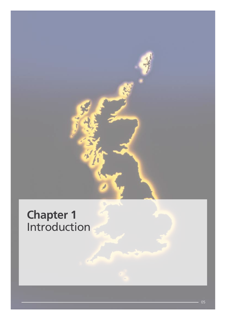

### **Chapter 1** Introduction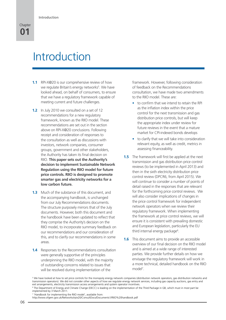### Introduction

- **1.1** RPI-X@20 is our comprehensive review of how we regulate Britain's energy networks<sup>5</sup>. We have looked ahead, on behalf of consumers, to ensure that we have a regulatory framework capable of meeting current and future challenges.
- **1.2** In July 2010 we consulted on a set of 12 recommendations for a new regulatory framework, known as the RIIO model. These recommendations are set out in the section above on RPI-X@20 conclusions. Following receipt and consideration of responses to the consultation as well as discussions with investors, network companies, consumer groups, government and other stakeholders, the Authority has taken its final decision on RIIO. **This paper sets out the Authority's decision to implement Sustainable Network Regulation using the RIIO model for future price controls. RIIO is designed to promote smarter gas and electricity networks for a low carbon future.**
- **1.3** Much of the substance of this document, and the accompanying handbook, is unchanged from our July Recommendations documents. The structure purposely mirrors that of the July documents. However, both this document and the handbook have been updated to reflect that they comprise the Authority's decision on the RIIO model, to incorporate summary feedback on our recommendations and our consideration of this, and to clarify our recommendations in some areas.
- **1.4** Responses to the Recommendations consultation were generally supportive of the principles underpinning the RIIO model, with the majority of outstanding concerns related to issues that will be resolved during implementation of the

framework. However, following consideration of feedback on the Recommendations consultation, we have made two amendments to the RIIO model. These are:

- to confirm that we intend to retain the RPI as the inflation index within the price control for the next transmission and gas distribution price controls, but will keep the appropriate index under review for future reviews in the event that a mature market for CPI-indexed bonds develops
- to clarify that we will take into consideration relevant equity, as well as credit, metrics in assessing financeability.
- **1.5** The framework will first be applied at the next transmission and gas distribution price control reviews (to be implemented in April 2013) and then in the sixth electricity distribution price control review (DPCR6, from April 2015). We will continue to consider a number of points of detail raised in the responses that are relevant for the forthcoming price control reviews. We will also consider implications of changes in the price control framework for independent network operators when we review their regulatory framework. When implementing the framework at price control reviews, we will ensure it is consistent with prevailing domestic and European legislation, particularly the EU third internal energy package<sup>6</sup>.
- **1.6** This document aims to provide an accessible overview of our final decision on the RIIO model and is aimed at a wide range of interested parties. We provide further details on how we envisage the regulatory framework will work in a more technical, detailed handbook on the RIIO model<sup>7</sup>.

<sup>5</sup> We have looked at how to set price controls for the monopoly energy network companies (distribution network operators, gas distribution networks and transmission operators). We did not consider other aspects of how we regulate energy network services, including gas capacity auctions, gas entry and exit arrangements, electricity transmission access arrangements and system operator incentives.

<sup>6</sup> The Department of Energy and Climate Change (DECC) is leading on the implementation of the Third Package in GB, which must in most part be implemented by 3 March 2011.

<sup>7</sup> 'Handbook for implementing the RIIO model', available from:

http://www.ofgem.gov.uk/Networks/rpix20/ConsultDocs/Documents1/RIIO%20handbook.pdf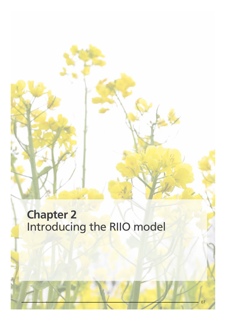### **Chapter 2** Introducing the RIIO model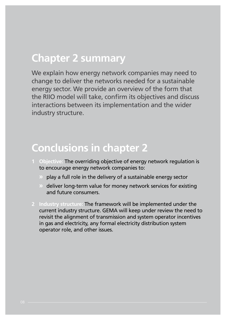#### **Chapter 2 summary**

We explain how energy network companies may need to change to deliver the networks needed for a sustainable energy sector. We provide an overview of the form that the RIIO model will take, confirm its objectives and discuss interactions between its implementation and the wider industry structure.

### **Conclusions in chapter 2**

- **1 Objective:** The overriding objective of energy network regulation is to encourage energy network companies to:
	- **»** play a full role in the delivery of a sustainable energy sector
	- **»** deliver long-term value for money network services for existing and future consumers.
- **2 Industry structure:** The framework will be implemented under the current industry structure. GEMA will keep under review the need to revisit the alignment of transmission and system operator incentives in gas and electricity, any formal electricity distribution system operator role, and other issues.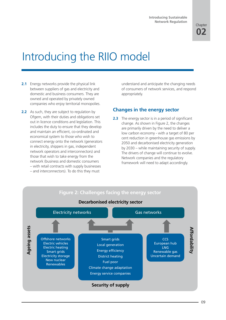# Introducing the RIIO model

- **2.1** Energy networks provide the physical link between suppliers of gas and electricity and domestic and business consumers. They are owned and operated by privately owned companies who enjoy territorial monopolies.
- **2.2** As such, they are subject to regulation by Ofgem, with their duties and obligations set out in licence conditions and legislation. This includes the duty to ensure that they develop and maintain an efficient, co-ordinated and economical system to those who wish to connect energy onto the network (generators in electricity, shippers in gas, independent network operators and interconnectors) and those that wish to take energy from the network (business and domestic consumers – with retail contracts with supply businesses – and interconnectors). To do this they must

understand and anticipate the changing needs of consumers of network services, and respond appropriately.

#### **Changes in the energy sector**

**2.3** The energy sector is in a period of significant change. As shown in Figure 2, the changes are primarily driven by the need to deliver a low carbon economy - with a target of 80 per cent reduction in greenhouse gas emissions by 2050 and decarbonised electricity generation by 2030 – while maintaining security of supply. The drivers of change will continue to evolve. Network companies and the regulatory framework will need to adapt accordingly.

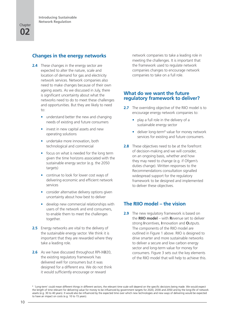#### **Changes in the energy networks**

- **2.4** These changes in the energy sector are expected to alter the nature, scale and location of demand for gas and electricity network services. Network companies also need to make changes because of their own ageing assets. As we discussed in July, there is significant uncertainty about what the networks need to do to meet these challenges and opportunities. But they are likely to need to:
	- understand better the new and changing needs of existing and future consumers
	- invest in new capital assets and new operating solutions
	- undertake more innovation, both technological and commercial
	- focus on what is needed for the long term given the time horizons associated with the sustainable energy sector (e.g. the 2050 targets)
	- continue to look for lower cost ways of delivering economic and efficient network services
	- consider alternative delivery options given uncertainty about how best to deliver
	- develop new commercial relationships with users of the network and end consumers, to enable them to meet the challenges together.
- **2.5** Energy networks are vital to the delivery of the sustainable energy sector. We think it is important that they are rewarded where they take a leading role.
- **2.6** As we have discussed throughout RPI-X@20, the existing regulatory framework has delivered well for consumers but it was designed for a different era. We do not think it would sufficiently encourage or reward

network companies to take a leading role in meeting the challenges. It is important that the framework used to regulate network companies changes to encourage network companies to take on a full role.

#### **What do we want the future regulatory framework to deliver?**

- **2.7** The overriding objective of the RIIO model is to encourage energy network companies to:
	- play a full role in the delivery of a sustainable energy sector
	- deliver long-term<sup>8</sup> value for money network services for existing and future consumers.
- **2.8** These objectives need to be at the forefront of decision-making and we will consider, on an ongoing basis, whether and how they may need to change (e.g. if Ofgem's duties change). Written responses to the Recommendations consultation signalled widespread support for the regulatory framework to be designed and implemented to deliver these objectives.

#### **The RIIO model – the vision**

**2.9** The new regulatory framework is based on the **RIIO model** – with **R**evenue set to deliver strong **I**ncentives, **I**nnovation and **O**utputs. The components of the RIIO model are outlined in Figure 1 above. RIIO is designed to drive smarter and more sustainable networks to deliver a secure and low carbon energy sector and long-term value for money for consumers. Figure 3 sets out the key elements of the RIIO model that will help to achieve this.

<sup>8</sup> 'Long-term' could mean different things in different sectors; the relevant time scale will depend on the specific decisions being made. We would expect the length of time relevant for delivering value for money to be influenced by government targets for 2020, 2030 and 2050 and by the long-life of network assets (e.g. 30 to 40 years). It would also be influenced by the expected time over which new technologies and new ways of delivering would be expected to have an impact on costs (e.g. 10 to 15 years).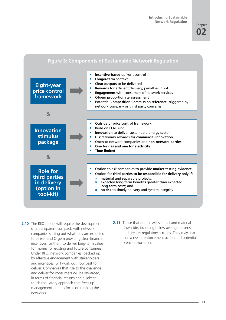#### **Figure 3: Components of Sustainable Network Regulation**



- **2.10** The RIIO model will require the development of a transparent compact, with network companies setting out what they are expected to deliver and Ofgem providing clear financial incentives for them to deliver long-term value for money for existing and future consumers. Under RIIO, network companies, backed up by effective engagement with stakeholders and incentives, will work out how best to deliver. Companies that rise to the challenge and deliver for consumers will be rewarded, in terms of financial returns and a lighter touch regulatory approach that frees up management time to focus on running the networks.
- **2.11** Those that do not will see real and material downside, including below average returns and greater regulatory scrutiny. They may also face a risk of enforcement action and potential licence revocation.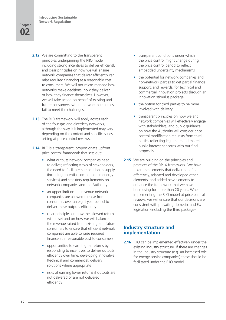#### **02 Chapter**

- **2.12** We are committing to the transparent principles underpinning the RIIO model, including strong incentives to deliver efficiently and clear principles on how we will ensure network companies that deliver efficiently can raise required financing at a reasonable cost to consumers. We will not micro-manage how networks make decisions, how they deliver or how they finance themselves. However, we will take action on behalf of existing and future consumers, where network companies fail to meet the challenges.
- **2.13** The RIIO framework will apply across each of the four gas and electricity networks, although the way it is implemented may vary depending on the context and specific issues arising at price control reviews.
- **2.14** RIIO is a transparent, proportionate upfront price control framework that sets out:
	- what outputs network companies need to deliver, reflecting views of stakeholders, the need to facilitate competition in supply (including potential competition in energy services) and statutory requirements on network companies and the Authority
	- an upper limit on the revenue network companies are allowed to raise from consumers over an eight-year period to deliver these outputs efficiently
	- clear principles on how the allowed return will be set and on how we will balance the revenue raised from existing and future consumers to ensure that efficient network companies are able to raise required finance at a reasonable cost to consumers
	- opportunities to earn higher returns by responding to incentives to deliver outputs efficiently over time, developing innovative (technical and commercial) delivery solutions where appropriate
	- risks of earning lower returns if outputs are not delivered or are not delivered efficiently
- transparent conditions under which the price control might change during the price control period to reflect embedded uncertainty mechanisms
- the potential for network companies and non-network parties to get partial financial support, and rewards, for technical and commercial innovation projects through an innovation stimulus package
- the option for third parties to be more involved with delivery
- transparent principles on how we and network companies will effectively engage with stakeholders, and public guidance on how the Authority will consider price control modification requests from third parties reflecting legitimate and material public interest concerns with our final proposals.
- **2.15** We are building on the principles and practices of the RPI-X framework. We have taken the elements that deliver benefits effectively, adapted and developed other elements, and added new elements to enhance the framework that we have been using for more than 20 years. When implementing the RIIO model at price control reviews, we will ensure that our decisions are consistent with prevailing domestic and EU legislation (including the third package).

#### **Industry structure and implementation**

**2.16** RIIO can be implemented effectively under the existing industry structure. If there are changes in the industry structure (e.g. an increased role for energy service companies) these should be facilitated under the RIIO model.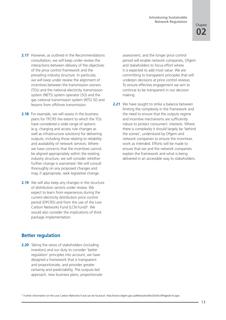- **2.17** However, as outlined in the Recommendations consultation, we will keep under review the interactions between delivery of the objectives of the price control framework and the prevailing industry structure. In particular, we will keep under review the alignment of incentives between the transmission owners (TOs) and the national electricity transmission system (NETS) system operator (SO) and the gas national transmission system (NTS) SO and lessons from offshore transmission.
- **2.18** For example, we will assess in the business plans for TPCR5 the extent to which the TOs have considered a wide range of options (e.g. charging and access rule changes as well as infrastructure solutions) for delivering outputs, including those relating to reliability and availability of network services. Where we have concerns that the incentives cannot be aligned appropriately within the existing industry structure, we will consider whether further change is warranted. We will consult thoroughly on any proposed changes and may, if appropriate, seek legislative change.
- **2.19** We will also keep any changes in the structure of distribution sectors under review. We expect to learn from experiences during the current electricity distribution price control period (DPCR5) and from the use of the Low Carbon Networks Fund (LCN Fund)<sup>9</sup>. We would also consider the implications of third package implementation.

#### **Better regulation**

**2.20** Taking the views of stakeholders (including investors) and our duty to consider 'better regulation' principles into account, we have designed a framework that is transparent and proportionate, and provides greater certainty and predictability. The outputs-led approach, new business plans, proportionate assessment, and the longer price control period will enable network companies, Ofgem and stakeholders to focus effort where it is expected to add most value. We are committing to transparent principles that will underpin decisions at price control reviews. To ensure effective engagement we aim to continue to be transparent in our decision making.

**2.21** We have sought to strike a balance between limiting the complexity in the framework and the need to ensure that the outputs regime and incentive mechanisms are sufficiently robust to protect consumers' interests. Where there is complexity it should largely be 'behind the scenes'; understood by Ofgem and network companies to ensure the incentives work as intended. Efforts will be made to ensure that we and the network companies explain the framework and what is being delivered in an accessible way to stakeholders.

<sup>9</sup> Further information on the Low Carbon Networks Fund can be found at: http://www.ofgem.gov.uk/Networks/ElecDist/lcnf/Pages/lcnf.aspx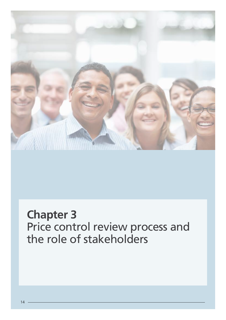

### **Chapter 3** Price control review process and the role of stakeholders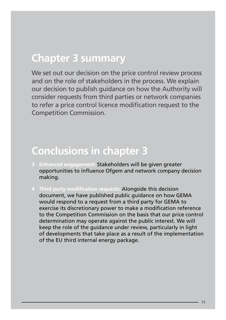#### **Chapter 3 summary**

We set out our decision on the price control review process and on the role of stakeholders in the process. We explain our decision to publish guidance on how the Authority will consider requests from third parties or network companies to refer a price control licence modification request to the Competition Commission.

#### **Conclusions in chapter 3**

- **3 Enhanced engagement:** Stakeholders will be given greater opportunities to influence Ofgem and network company decision making.
- **4 Third party modification requests:** Alongside this decision document, we have published public guidance on how GEMA would respond to a request from a third party for GEMA to exercise its discretionary power to make a modification reference to the Competition Commission on the basis that our price control determination may operate against the public interest. We will keep the role of the guidance under review, particularly in light of developments that take place as a result of the implementation of the EU third internal energy package.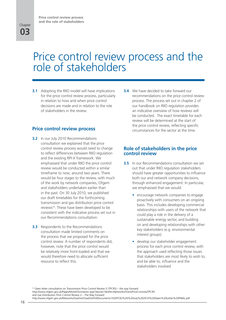### Price control review process and the role of stakeholders

**3.1** Adopting the RIIO model will have implications for the price control review process, particularly in relation to how and when price control decisions are made and in relation to the role of stakeholders in the review.

#### **Price control review process**

- **3.2** In our July 2010 Recommendations consultation we explained that the price control review process would need to change to reflect differences between RIIO regulation and the existing RPI-X framework. We emphasised that under RIIO the price control review would be conducted within a similar timeframe to now; around two years. There would be four stages to the review, with much of the work by network companies, Ofgem and stakeholders undertaken earlier than in the past. On 30 July 2010, we published our draft timetables for the forthcoming transmission and gas distribution price control reviews<sup>10</sup>. These have been developed to be consistent with the indicative process set out in our Recommendations consultation.
- **3.3** Respondents to the Recommendations consultation made limited comments on the process that we proposed for the price control review. A number of respondents did, however, note that the price control would be relatively more front-loaded and that we would therefore need to allocate sufficient resource to reflect this.

**3.4** We have decided to take forward our recommendations on the price control review process. The process set out in chapter 2 of our handbook on RIIO regulation provides an indicative overview of how reviews will be conducted. The exact timetable for each review will be determined at the start of the price control review, reflecting specific circumstances for the sector at the time.

#### **Role of stakeholders in the price control review**

- **3.5** In our Recommendations consultation we set out that under RIIO regulation stakeholders should have greater opportunities to influence both our and network company decisions, through enhanced engagement. In particular, we emphasised that we would:
	- encourage network companies to engage proactively with consumers on an ongoing basis. This includes developing commercial relationships with users of the network that could play a role in the delivery of a sustainable energy sector, and building on and developing relationships with other key stakeholders (e.g. environmental interest groups)
	- develop our stakeholder engagement process for each price control review, with the approach used reflecting those issues that stakeholders are most likely to wish to, and be able to, influence and the stakeholders involved

<sup>10</sup> Open letter consultation on Transmission Price Control Review 5 (TPCR5) – the way forward http://www.ofgem.gov.uk/Pages/MoreInformation.aspx?docid=1&refer=Networks/Trans/PriceControls/TPCR5 and Gas Distribution Price Control Review 2 – The Way Forward http://www.ofgem.gov.uk/Networks/GasDistr/GasDistrPol/Documents1/GDPCR2%20%20July%202010%20Open%20Letter%20FINAL.pdf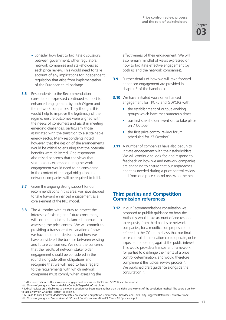- consider how best to facilitate discussions between government, other regulators, network companies and stakeholders at each price review. This would need to take account of any implications for independent regulation that arise from implementation of the European third package.
- **3.6** Respondents to the Recommendations consultation expressed continued support for enhanced engagement by both Ofgem and the network companies. They thought this would help to improve the legitimacy of the regime, ensure outcomes were aligned with the needs of consumers and assist in meeting emerging challenges, particularly those associated with the transition to a sustainable energy sector. Many respondents noted, however, that the design of the arrangements would be critical to ensuring that the potential benefits were delivered. One respondent also raised concerns that the views that stakeholders expressed during network engagement would need to be considered in the context of the legal obligations that network companies will be required to fulfil.
- **3.7** Given the ongoing strong support for our recommendations in this area, we have decided to take forward enhanced engagement as a core element of the RIIO model.
- **3.8** The Authority, with its duty to protect the interests of existing and future consumers, will continue to take a balanced approach to assessing the price control. We will commit to providing a transparent explanation of how we have made our decisions and how we have considered the balance between existing and future consumers. We note the concerns that the results of network stakeholder engagement should be considered in the round alongside other obligations and recognise that we will need to have regard to the requirements with which network companies must comply when assessing the

effectiveness of their engagement. We will also remain mindful of views expressed on how to facilitate effective engagement (by both us and the network companies).

- **3.9** Further details of how we will take forward enhanced engagement are provided in chapter 3 of the handbook.
- **3.10** We have initiated work on enhanced engagement for TPCR5 and GDPCR2 with:
	- the establishment of output working groups which have met numerous times
	- our first stakeholder event set to take place on 7 October
	- the first price control review forum scheduled for 27 October11.
- **3.11** A number of companies have also begun to initiate engagement with their stakeholders. We will continue to look for, and respond to, feedback on how we and network companies are engaging to ensure that our approaches adapt as needed during a price control review and from one price control review to the next.

#### **Third parties and Competition Commission references**

**3.12** In our Recommendations consultation we proposed to publish guidance on how the Authority would take account of and respond to requests, from third parties or network companies, for a modification proposal to be referred to the CC on the basis that our final price control determination could operate, or be expected to operate, against the public interest. This would provide a transparent framework for parties to challenge the merits of a price control determination, and would therefore complement the judicial review process<sup>12</sup>. We published draft guidance alongside the consultation<sup>13</sup>.

<sup>11</sup> Further information on the stakeholder engagement process for TPCR5 and GDPCR2 can be found at:

http://www.ofgem.gov.uk/Networks/PriceControls/Pages/PriceControls.aspx

<sup>12</sup> Judicial reviews are a challenge to the way a decision has been made, rather than the rights and wrongs of the conclusion reached. The court is unlikely to take a view on what the 'correct' decision is.

<sup>&</sup>lt;sup>13</sup> A Guide to Price Control Modification References to the Competition Commission - Licensee and Third Party Triggered References, available from: http://www.ofgem.gov.uk/Networks/rpix20/ConsultDocs/Documents1/final%20mod%20guidance.pdf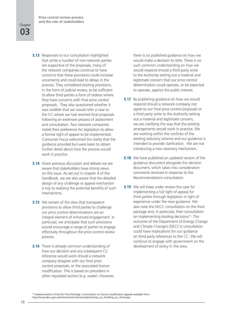**Price control review process and the role of stakeholders**

#### **03 Chapter**

- **3.13** Responses to our consultation highlighted that while a number of non-network parties are supportive of the proposals, many of the network companies continue to have concerns that these provisions could increase uncertainty and could lead to delays in the process. They considered existing provisions, in the form of judicial review, to be sufficient to allow third parties a form of redress where they have concerns with final price control proposals. They also questioned whether it was credible that we would refer a case to the CC where we had reached final proposals following an extensive process of assessment and consultation. Two network companies noted their preference for legislation to allow a formal right of appeal to be implemented. Consumer Focus welcomed the clarity that the guidance provided but were keen to obtain further detail about how the process would work in practice.
- **3.14** Given previous discussion and debate we are aware that stakeholders have strong views on this issue. As set out in chapter 4 of the handbook, we are also aware that the detailed design of any challenge or appeal mechanism is key to realising the potential benefits of such mechanisms.
- **3.15** We remain of the view that transparent provisions to allow third parties to challenge our price control determinations are an integral element of enhanced engagement. In particular, we anticipate that such provisions would encourage a range of parties to engage effectively throughout the price control review process.
- **3.16** There is already common understanding of how our decision and any subsequent CC reference would work should a network company disagree with our final price control proposals, or the associated licence modification. This is based on precedent in other regulated sectors (e.g. water). However,

there is no published guidance on how we would make a decision to refer. There is no such common understanding on how we would respond should a third party write to the Authority setting out a material and legitimate concern that our price control determination could operate, or be expected to operate, against the public interest.

- **3.17** By publishing guidance on how we would respond should a network company not agree to our final price control proposals or a third party write to the Authority setting out a material and legitimate concern, we are clarifying the way that the existing arrangements would work in practice. We are working within the confines of the existing statutory scheme and our guidance is intended to provide clarification. We are not introducing a new statutory mechanism.
- **3.18** We have published an updated version of the guidance document alongside this decision document, which takes into consideration comments received in response to the Recommendations consultation.
- **3.19** We will keep under review the case for implementing a full right of appeal for third parties through legislation in light of experience under the new guidance. We also note the DECC consultation on the third package and, in particular, their consultation on implementing binding decisions<sup>14</sup>. The outcome of the Department of Energy Change and Climate Change's (DECC's) consultation could have implications for our guidance on third party references to the CC. We will continue to engage with government on the development of policy in this area.

14 Implementation of the EU Third Package: Consultation on licence modification appeals available from: http://www.decc.gov.uk/en/content/cms/consultations/imp\_eu\_third/imp\_eu\_third.aspx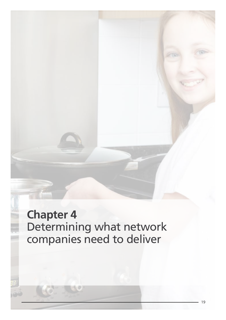**Chapter 4** Determining what network companies need to deliver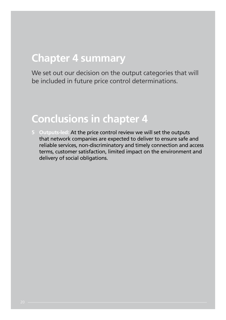### **Chapter 4 summary**

We set out our decision on the output categories that will be included in future price control determinations.

### **Conclusions in chapter 4**

**5 Outputs-led:** At the price control review we will set the outputs that network companies are expected to deliver to ensure safe and reliable services, non-discriminatory and timely connection and access terms, customer satisfaction, limited impact on the environment and delivery of social obligations.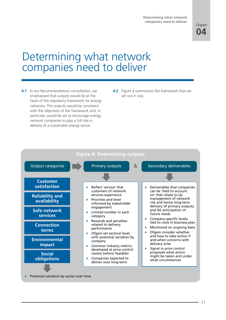

### Determining what network companies need to deliver

- **4.1** In our Recommendations consultation, we emphasised that outputs would be at the heart of the regulatory framework for energy networks. The outputs would be consistent with the objectives of the framework and, in particular, would be set to encourage energy network companies to play a full role in delivery of a sustainable energy sector.
- **4.2** Figure 4 summarises the framework that we set out in July.



**»** Potential variation by sector over time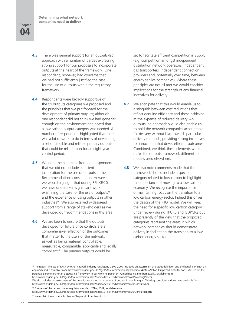#### **04 Chapter**

- **4.3** There was general support for an outputs-led approach with a number of parties expressing strong support for our proposals to incorporate outputs at the heart of the framework. One respondent, however, had concerns that we had not sufficiently justified the case for the use of outputs within the regulatory framework.
- **4.4** Respondents were broadly supportive of the six outputs categories we proposed and the principles that we put forward for the development of primary outputs; although one respondent did not think we had gone far enough on the environment and noted that a low carbon output category was needed. A number of respondents highlighted that there was a lot of work to do in terms of developing a set of credible and reliable primary outputs that could be relied upon for an eight-year control period.
- **4.5** We note the comment from one respondent that we did not include sufficient justification for the use of outputs in the Recommendations consultation. However, we would highlight that during RPI-X@20 we have undertaken significant work examining the case for the use of outputs<sup>15</sup> and the experience of using outputs in other industries<sup>16</sup>. We also received widespread support from a range of stakeholders as we developed our recommendations in this area.
- **4.6** We are keen to ensure that the outputs developed for future price controls are a comprehensive reflection of the outcomes that matter to the users of the network, as well as being material, controllable, measurable, comparable, applicable and legally compliant<sup>17</sup>. The primary outputs would be

set to facilitate efficient competition in supply (e.g. competition amongst independent distribution network operators, independent gas transporters, independent connection providers and, potentially over time, between energy service companies). Where these principles are not all met we would consider implications for the strength of any financial incentives for delivery.

- **4.7** We anticipate that this would enable us to distinguish between cost reductions that reflect genuine efficiency and those achieved at the expense of reduced delivery. An outputs-led approach would also enable us to hold the network companies accountable for delivery without bias towards particular delivery methods, providing strong incentives for innovation that drives efficient outcomes. Combined, we think these elements would make the outputs framework different to models used elsewhere.
- **4.8** We also note comments made that the framework should include a specific category related to low carbon to highlight the importance of moving to a low carbon economy. We recognise the importance of maintaining focus on the transition to a low carbon energy sector. Indeed this drives the design of the RIIO model. We will keep the need for a specific low carbon category under review during TPCR5 and GDPCR2 but are presently of the view that the proposed categories represent the areas in which network companies should demonstrate delivery in facilitating the transition to a low carbon energy sector.

<sup>16</sup> A review of the rail and water regulatory models, CEPA, 2009, available from:

<sup>&</sup>lt;sup>15</sup> The report 'The use of RPI-X by other network industry regulators, CEPA, 2009' included an assessment of output definition and the benefits of such an approach and is available from: http://www.ofgem.gov.uk/Pages/MoreInformation.aspx?docid=3&refer=Networks/rpix20/ConsultReports. We set out the potential parameters for an outputs-led framework in our working paper on 'A modified ex ante framework', available from: http://www.ofgem.gov.uk/Pages/MoreInformation.aspx?docid=12&refer=Networks/rpix20/WorkingPapers.

We also included an assessment of the benefits associated with the use of outputs in our Emerging Thinking consultation document, available from: http://www.ofgem.gov.uk/Pages/MoreInformation.aspx?docid=42&refer=Networks/rpix20/ConsultDocs

http://www.ofgem.gov.uk/Pages/MoreInformation.aspx?docid=21&refer=Networks/rpix20/ConsultReports

<sup>&</sup>lt;sup>17</sup> We explain these criteria further in Chapter 6 of our handbook.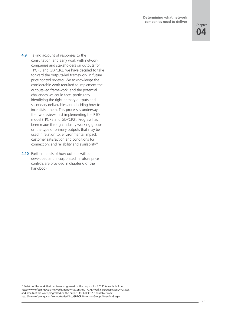#### **Determining what network companies need to deliver**

- **4.9** Taking account of responses to the consultation, and early work with network companies and stakeholders on outputs for TPCR5 and GDPCR2, we have decided to take forward the outputs-led framework in future price control reviews. We acknowledge the considerable work required to implement the outputs-led framework, and the potential challenges we could face, particularly identifying the right primary outputs and secondary deliverables and deciding how to incentivise them. This process is underway in the two reviews first implementing the RIIO model (TPCR5 and GDPCR2). Progress has been made through industry working groups on the type of primary outputs that may be used in relation to: environmental impact; customer satisfaction and conditions for connection; and reliability and availability<sup>18</sup>.
- **4.10** Further details of how outputs will be developed and incorporated in future price controls are provided in chapter 6 of the handbook.

<sup>18</sup> Details of the work that has been progressed on the outputs for TPCR5 is available from: http://www.ofgem.gov.uk/Networks/Trans/PriceControls/TPCR5/WorkingGroups/Pages/WG.aspx and details of the work progressed on the outputs for GDPCR2 is available from: http://www.ofgem.gov.uk/Networks/GasDistr/GDPCR2/WorkingGroups/Pages/WG.aspx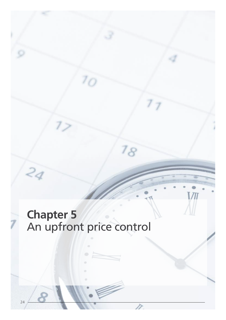# **Chapter 5** An upfront price control

n

18

Ì

24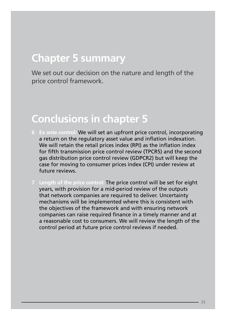### **Chapter 5 summary**

We set out our decision on the nature and length of the price control framework.

#### **Conclusions in chapter 5**

- **6 Ex ante control:** We will set an upfront price control, incorporating a return on the regulatory asset value and inflation indexation. We will retain the retail prices index (RPI) as the inflation index for fifth transmission price control review (TPCR5) and the second gas distribution price control review (GDPCR2) but will keep the case for moving to consumer prices index (CPI) under review at future reviews.
- **7 Length of the price control:** The price control will be set for eight years, with provision for a mid-period review of the outputs that network companies are required to deliver. Uncertainty mechanisms will be implemented where this is consistent with the objectives of the framework and with ensuring network companies can raise required finance in a timely manner and at a reasonable cost to consumers. We will review the length of the control period at future price control reviews if needed.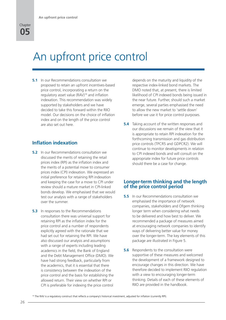### An upfront price control

**5.1** In our Recommendations consultation we proposed to retain an upfront incentives-based price control, incorporating a return on the regulatory asset value (RAV)<sup>19</sup> and inflation indexation. This recommendation was widely supported by stakeholders and we have decided to take this forward within the RIIO model. Our decisions on the choice of inflation index and on the length of the price control are also set out here.

#### **Inflation indexation**

- **5.2** In our Recommendations consultation we discussed the merits of retaining the retail prices index (RPI) as the inflation index and the merits of a potential move to consumer prices index (CPI) indexation. We expressed an initial preference for retaining RPI indexation and keeping the case for a move to CPI under review should a mature market in CPI-linked bonds develop. We emphasised that we would test our analysis with a range of stakeholders over the summer.
- **5.3** In responses to the Recommendations consultation there was universal support for retaining RPI as the inflation index for the price control and a number of respondents explicitly agreed with the rationale that we had set out for retaining the RPI. We have also discussed our analysis and assumptions with a range of experts including leading academics in the field, the Bank of England and the Debt Management Office (DMO). We have had strong feedback, particularly from the academics, that it is essential that there is consistency between the indexation of the price control and the basis for establishing the allowed return. Their view on whether RPI or CPI is preferable for indexing the price control

depends on the maturity and liquidity of the respective index-linked bond markets. The DMO noted that, at present, there is limited likelihood of CPI indexed bonds being issued in the near future. Further, should such a market emerge, several parties emphasised the need to allow the new market to 'settle down' before we use it for price control purposes.

**5.4** Taking account of the written responses and our discussions we remain of the view that it is appropriate to retain RPI indexation for the forthcoming transmission and gas distribution price controls (TPCR5 and GDPCR2). We will continue to monitor developments in relation to CPI indexed bonds and will consult on the appropriate index for future price controls should there be a case for change.

#### **Longer-term thinking and the length of the price control period**

- **5.5** In our Recommendations consultation we emphasised the importance of network companies, stakeholders and Ofgem thinking longer term when considering what needs to be delivered and how best to deliver. We recommended a package of measures aimed at encouraging network companies to identify ways of delivering better value for money over the longer-term. The key elements of this package are illustrated in Figure 5.
- **5.6** Respondents to the consultation were supportive of these measures and welcomed the development of a framework designed to encourage changes in this direction. We have therefore decided to implement RIIO regulation with a view to encouraging longer-term thinking. Details of each of these elements of RIIO are provided in the handbook.

<sup>19</sup> The RAV is a regulatory construct that reflects a company's historical investment, adjusted for inflation (currently RPI).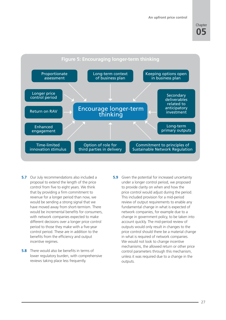**An upfront price control**

#### **05 Chapter**



- **5.7** Our July recommendations also included a proposal to extend the length of the price control from five to eight years. We think that by providing a firm commitment to revenue for a longer period than now, we would be sending a strong signal that we have moved away from short-termism. There would be incremental benefits for consumers. with network companies expected to make different decisions over a longer price control period to those they make with a five-year control period. These are in addition to the benefits from the efficiency and output incentive regimes.
- **5.8** There would also be benefits in terms of lower regulatory burden, with comprehensive reviews taking place less frequently.
- **5.9** Given the potential for increased uncertainty under a longer control period, we proposed to provide clarity on when and how the price control would adjust during the period. This included provision for a mid-period review of output requirements to enable any fundamental change in what is expected of network companies, for example due to a change in government policy, to be taken into account quickly. The mid-period review of outputs would only result in changes to the price control should there be a material change in what is required of network companies. We would not look to change incentive mechanisms, the allowed return or other price control parameters through this mechanism, unless it was required due to a change in the outputs.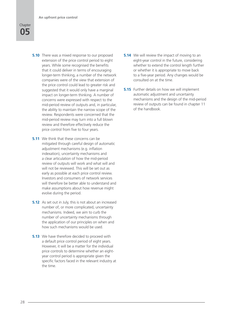

- **5.10** There was a mixed response to our proposed extension of the price control period to eight years. While some recognised the benefits that it could deliver in terms of encouraging longer-term thinking, a number of the network companies were of the view that extension of the price control could lead to greater risk and suggested that it would only have a marginal impact on longer-term thinking. A number of concerns were expressed with respect to the mid-period review of outputs and, in particular, the ability to maintain the narrow scope of the review. Respondents were concerned that the mid-period review may turn into a full blown review and therefore effectively reduce the price control from five to four years.
- **5.11** We think that these concerns can be mitigated through careful design of automatic adjustment mechanisms (e.g. inflation indexation), uncertainty mechanisms and a clear articulation of how the mid-period review of outputs will work and what will and will not be reviewed. This will be set out as early as possible at each price control review. Investors and consumers of network services will therefore be better able to understand and make assumptions about how revenue might evolve during the period.
- **5.12** As set out in July, this is not about an increased number of, or more complicated, uncertainty mechanisms. Indeed, we aim to curb the number of uncertainty mechanisms through the application of our principles on when and how such mechanisms would be used.
- **5.13** We have therefore decided to proceed with a default price control period of eight years. However, it will be a matter for the individual price controls to determine whether an eightyear control period is appropriate given the specific factors faced in the relevant industry at the time.
- **5.14** We will review the impact of moving to an eight-year control in the future, considering whether to extend the control length further or whether it is appropriate to move back to a five-year period. Any changes would be consulted on at the time.
- **5.15** Further details on how we will implement automatic adjustment and uncertainty mechanisms and the design of the mid-period review of outputs can be found in chapter 11 of the handbook.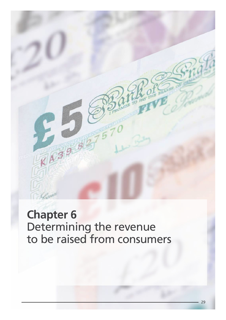

### **Chapter 6** Determining the revenue to be raised from consumers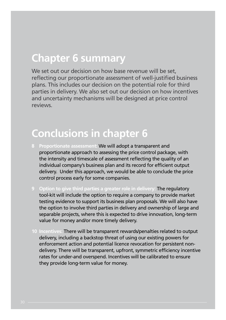#### **Chapter 6 summary**

We set out our decision on how base revenue will be set, reflecting our proportionate assessment of well-justified business plans. This includes our decision on the potential role for third parties in delivery. We also set out our decision on how incentives and uncertainty mechanisms will be designed at price control reviews.

### **Conclusions in chapter 6**

- **8 Proportionate assessment:** We will adopt a transparent and proportionate approach to assessing the price control package, with the intensity and timescale of assessment reflecting the quality of an individual company's business plan and its record for efficient output delivery. Under this approach, we would be able to conclude the price control process early for some companies.
- **9 Option to give third parties a greater role in delivery:** The regulatory tool-kit will include the option to require a company to provide market testing evidence to support its business plan proposals. We will also have the option to involve third parties in delivery and ownership of large and separable projects, where this is expected to drive innovation, long-term value for money and/or more timely delivery.
- **10 Incentives:** There will be transparent rewards/penalties related to output delivery, including a backstop threat of using our existing powers for enforcement action and potential licence revocation for persistent nondelivery. There will be transparent, upfront, symmetric efficiency incentive rates for under-and overspend. Incentives will be calibrated to ensure they provide long-term value for money.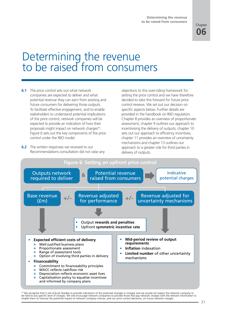

### Determining the revenue to be raised from consumers

- **6.1** The price control sets out what network companies are expected to deliver and what potential revenue they can earn from existing and future consumers for delivering those outputs. To facilitate effective engagement, and to enable stakeholders to understand potential implications of the price control, network companies will be expected to provide an indication of how their proposals might impact on network charges<sup>20</sup>. Figure 6 sets out the key components of the price control under the RIIO model.
- **6.2** The written responses we received to our Recommendations consultation did not raise any

objections to this over-riding framework for setting the price control and we have therefore decided to take this forward for future price control reviews. We set out our decision on specific aspects below. Further details are provided in the handbook on RIIO regulation. Chapter 8 provides an overview of proportionate assessment, chapter 9 outlines our approach to incentivising the delivery of outputs, chapter 10 sets out our approach to efficiency incentives, chapter 11 provides an overview of uncertainty mechanisms and chapter 13 outlines our approach to a greater role for third parties in delivery of outputs.



2º We recognise that it will only be feasible to provide indications of the potential changes in charges and we would not expect the network company to<br>be held to any specific level of charges. We will encourage network co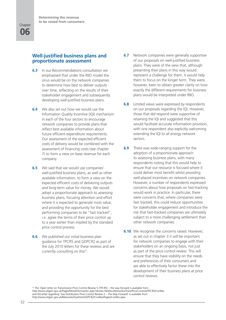#### **Well-justified business plans and proportionate assessment**

- **6.3** In our Recommendations consultation we emphasised that under the RIIO model the onus would be on the network companies to determine how best to deliver outputs over time, reflecting on the results of their stakeholder engagement and subsequently developing well-justified business plans.
- **6.4** We also set out how we would use the Information Quality Incentive (IQI) mechanism in each of the four sectors to encourage network companies to provide plans that reflect best available information about future efficient expenditure requirements. Our assessment of the expected efficient costs of delivery would be combined with the assessment of financing costs (see chapter 7) to form a view on base revenue for each company.
- **6.5** We said that we would use companies' well-justified business plans, as well as other available information, to form a view on the expected efficient costs of delivering outputs and long-term value for money. We would adopt a proportionate approach to assessing business plans, focusing attention and effort where it is expected to generate most value, and providing the opportunity for the best performing companies to be "fast tracked", i.e. agree the terms of their price control up to a year earlier than implied by the standard price control process.
- **6.6** We published our initial business plan guidance for TPCR5 and GDPCR2 as part of the July 2010 letters for these reviews and are currently consulting on this<sup>21</sup>.
- **6.7** Network companies were generally supportive of our proposals on well-justified business plans. They were of the view that, although presenting their plans in this way would represent a challenge for them, it would help them to focus on the longer term. They were, however, keen to obtain greater clarity on how exactly the different requirements for business plans would be interpreted under RIIO.
- **6.8** Limited views were expressed by respondents on our proposals regarding the IQI. However, those that did respond were supportive of retaining the IQI and suggested that this would facilitate accurate information provision, with one respondent also explicitly welcoming extending the IQI to all energy network sectors.
- **6.9** There was wide-ranging support for the adoption of a proportionate approach to assessing business plans, with many respondents noting that this would help to ensure that our resource is focused where it could deliver most benefit whilst providing well-placed incentives on network companies. However, a number of respondents expressed concerns about how proposals on fast-tracking would work in practice. In particular, there were concerns that, where companies were fast tracked, this could reduce opportunities for stakeholder engagement and introduce the risk that fast-tracked companies are ultimately subject to a more challenging settlement than other network companies.
- **6.10** We recognise the concerns raised. However, as set out in chapter 3 it will be important for network companies to engage with their stakeholders on an ongoing basis, not just as part of the price control review. This will ensure that they have visibility on the needs and preferences of their consumers and are able to effectively factor these into the development of their business plans at price control reviews.

<sup>21</sup> The 'Open letter on Transmission Price Control Review 5 (TPCR5) – the way forward is available from: http://www.ofgem.gov.uk/Pages/MoreInformation.aspx?docid=1&refer=Networks/Trans/PriceControls/TPCR5/ConRes and the letter regarding 'Gas Distribution Price Control Review 2 – The Way Forward' is available from: http://www.ofgem.gov.uk/Networks/GasDistr/GDPCR2/ConRes/Pages/ConRes.aspx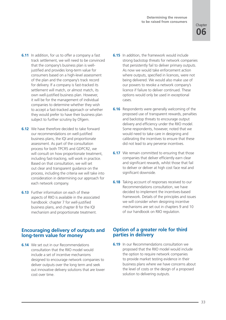- **6.11** In addition, for us to offer a company a fast track settlement, we will need to be convinced that the company's business plan is welljustified and provides long-term value for consumers based on a high-level assessment of the plan and the company's track record for delivery. If a company is fast-tracked its settlement will match, or almost match, its own well-justified business plan. However, it will be for the management of individual companies to determine whether they wish to accept a fast-tracked approach or whether they would prefer to have their business plan subject to further scrutiny by Ofgem.
- **6.12** We have therefore decided to take forward our recommendations on well-justified business plans, the IQI and proportionate assessment. As part of the consultation process for both TPCR5 and GDPCR2, we will consult on how proportionate treatment. including fast-tracking, will work in practice. Based on that consultation, we will set out clear and transparent guidance on the process, including the criteria we will take into consideration in determining our approach for each network company.
- **6.13** Further information on each of these aspects of RIIO is available in the associated handbook: chapter 7 for well-justified business plans, and chapter 8 for the IQI mechanism and proportionate treatment.

#### **Encouraging delivery of outputs and long-term value for money**

**6.14** We set out in our Recommendations consultation that the RIIO model would include a set of incentive mechanisms designed to encourage network companies to deliver outputs over the long term and seek out innovative delivery solutions that are lower cost over time.

- **6.15** In addition, the framework would include strong backstop threats for network companies that persistently fail to deliver primary outputs. As now we would take enforcement action where outputs, specified in licences, were not being delivered. We would also make use of our powers to revoke a network company's licence if failure to deliver continued. These options would only be used in exceptional cases.
- **6.16** Respondents were generally welcoming of the proposed use of transparent rewards, penalties and backstop threats to encourage output delivery and efficiency under the RIIO model. Some respondents, however, noted that we would need to take care in designing and calibrating the incentives to ensure that these did not lead to any perverse incentives.
- **6.17** We remain committed to ensuring that those companies that deliver efficiently earn clear and significant rewards, whilst those that fail to deliver or deliver at high cost face real and significant downside.
- **6.18** Taking account of responses received to our Recommendations consultation, we have decided to implement the incentives-based framework. Details of the principles and issues we will consider when designing incentive mechanisms are set out in chapters 9 and 10 of our handbook on RIIO regulation.

#### **Option of a greater role for third parties in delivery**

**6.19** In our Recommendations consultation we proposed that the RIIO model would include the option to require network companies to provide market testing evidence in their business plans where we have concerns about the level of costs or the design of a proposed solution to delivering outputs.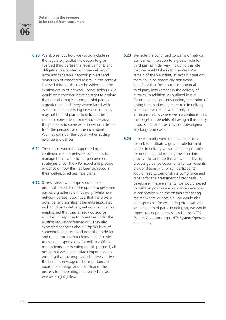**Determining the revenue to be raised from consumers**

#### **06 Chapter**

- **6.20** We also set out how we would include in the regulatory toolkit the option to give licensed third parties the revenue rights and obligations associated with the delivery of large and separable network projects and ownership of associated assets. In this context licensed third parties may be wider than the existing group of network licence holders. We would only consider initiating steps to explore the potential to give licensed third parties a greater role in delivery where faced with evidence that an existing network company may not be best placed to deliver at best value for consumers, for instance because the project is to some extent new or untested from the perspective of the incumbent. We may consider this option when setting revenue allowances.
- **6.21** These tools would be supported by a continued role for network companies to manage their own efficient procurement strategies under the RIIO model and provide evidence of how this has been achieved in their well-justified business plans.
- **6.22** Diverse views were expressed on our proposals to establish the option to give third parties a greater role in delivery. While nonnetwork parties recognised that there were potential and significant benefits associated with third party delivery, network companies emphasised that they already outsource activities in response to incentives under the existing regulatory framework. They also expressed concerns about Ofgem's level of commercial and technical expertise to design and run a process that chooses third parties to assume responsibility for delivery. Of the respondents commenting on this proposal, all noted that we should attach importance to ensuring that the proposals effectively deliver the benefits envisaged. The importance of appropriate design and operation of the process for appointing third party licensees was also highlighted.
- **6.23** We note the continued concerns of network companies in relation to a greater role for third parties in delivery, including the role that we would take in this process. We remain of the view that, in certain situations, there could be potentially significant benefits either from actual or potential third party involvement in the delivery of outputs. In addition, as outlined in our Recommendations consultation, the option of giving third parties a greater role in delivery and asset ownership would only be initiated in circumstances where we are confident that the long-term benefits of having a third party responsible for these activities outweighed any long-term costs.
- **6.24** If the Authority were to initiate a process to seek to facilitate a greater role for third parties in delivery we would be responsible for designing and running the selection process. To facilitate this we would develop process guidance documents for participants, pre-conditions with which participants would need to demonstrate compliance and criteria for the assessment of proposals. In developing these elements, we would expect to build on policies and guidance developed in connection with the offshore tendering regime wherever possible. We would also be responsible for evaluating proposals and selecting a third party. In doing so, we would expect to cooperate closely with the NETS System Operator or gas NTS System Operator at all times.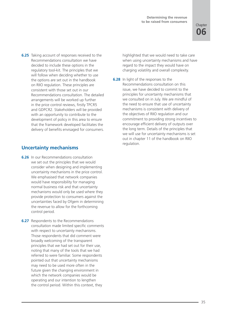**6.25** Taking account of responses received to the Recommendations consultation we have decided to include these options in the regulatory tool-kit. The principles that we will follow when deciding whether to use the options are set out in the handbook on RIIO regulation. These principles are consistent with those set out in our Recommendations consultation. The detailed arrangements will be worked up further in the price control reviews, firstly TPCR5 and GDPCR2. Stakeholders will be provided with an opportunity to contribute to the development of policy in this area to ensure that the framework developed facilitates the delivery of benefits envisaged for consumers.

#### **Uncertainty mechanisms**

- **6.26** In our Recommendations consultation we set out the principles that we would consider when designing and implementing uncertainty mechanisms in the price control. We emphasised that network companies would have responsibility for managing normal business risk and that uncertainty mechanisms would only be used where they provide protection to consumers against the uncertainties faced by Ofgem in determining the revenue to allow for the forthcoming control period.
- **6.27** Respondents to the Recommendations consultation made limited specific comments with respect to uncertainty mechanisms. Those respondents that did comment were broadly welcoming of the transparent principles that we had set out for their use, noting that many of the tools that we had referred to were familiar. Some respondents pointed out that uncertainty mechanisms may need to be used more often in the future given the changing environment in which the network companies would be operating and our intention to lengthen the control period. Within this context, they

highlighted that we would need to take care when using uncertainty mechanisms and have regard to the impact they would have on charging volatility and overall complexity.

**6.28** In light of the responses to the Recommendations consultation on this issue, we have decided to commit to the principles for uncertainty mechanisms that we consulted on in July. We are mindful of the need to ensure that use of uncertainty mechanisms is consistent with delivery of the objectives of RIIO regulation and our commitment to providing strong incentives to encourage efficient delivery of outputs over the long term. Details of the principles that we will use for uncertainty mechanisms is set out in chapter 11 of the handbook on RIIO regulation.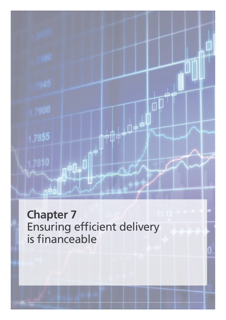

### **Chapter 7** Ensuring efficient delivery is financeable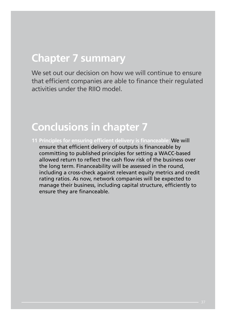### **Chapter 7 summary**

We set out our decision on how we will continue to ensure that efficient companies are able to finance their regulated activities under the RIIO model.

#### **Conclusions in chapter 7**

**11 Principles for ensuring efficient delivery is financeable:** We will ensure that efficient delivery of outputs is financeable by committing to published principles for setting a WACC-based allowed return to reflect the cash flow risk of the business over the long term. Financeability will be assessed in the round, including a cross-check against relevant equity metrics and credit rating ratios. As now, network companies will be expected to manage their business, including capital structure, efficiently to ensure they are financeable.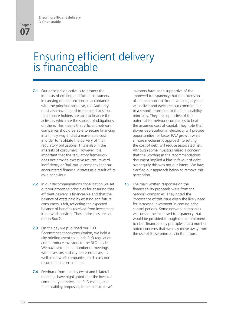### Ensuring efficient delivery is financeable

- **7.1** Our principal objective is to protect the interests of existing and future consumers. In carrying out its functions in accordance with the principal objective, the Authority must also have regard to the need to secure that licence holders are able to finance the activities which are the subject of obligations on them. This means that efficient network companies should be able to secure financing in a timely way and at a reasonable cost in order to facilitate the delivery of their regulatory obligations. This is also in the interests of consumers. However, it is important that the regulatory framework does not provide excessive returns, reward inefficiency or 'bail-out' a company that has encountered financial distress as a result of its own behaviour.
- **7.2** In our Recommendations consultation we set out our proposed principles for ensuring that efficient delivery is financeable and that the balance of costs paid by existing and future consumers is fair, reflecting the expected balance of benefits received from investment in network services. These principles are set out in Box 2.
- **7.3** On the day we published our RIIO Recommendations consultation, we held a city briefing event to launch RIIO regulation and introduce investors to the RIIO model. We have since had a number of meetings with investors and city representatives, as well as network companies, to discuss our recommendations in detail.
- **7.4** Feedback from the city event and bilateral meetings have highlighted that the investor community perceives the RIIO model, and financeability proposals, to be 'constructive'.

Investors have been supportive of the improved transparency that the extension of the price control from five to eight years will deliver and welcome our commitment to a smooth transition to the financeability principles. They are supportive of the potential for network companies to beat the assumed cost of capital. They note that slower depreciation in electricity will provide opportunities for faster RAV growth while a more mechanistic approach to setting the cost of debt will reduce associated risk. Although some investors raised a concern that the wording in the recommendations document implied a bias in favour of debt over equity this was not our intent. We have clarified our approach below to remove this perception.

**7.5** The main written responses on the financeability proposals were from the network companies. They noted the importance of this issue given the likely need for increased investment in coming price control periods. Some network companies welcomed the increased transparency that would be provided through our commitment to clear financeability principles but a number noted concerns that we may move away from the use of these principles in the future.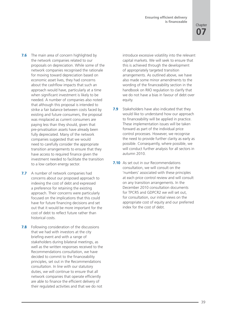- **7.6** The main area of concern highlighted by the network companies related to our proposals on depreciation. While some of the network companies recognised the rationale for moving toward depreciation based on economic asset lives, they had concerns about the cashflow impacts that such an approach would have, particularly at a time when significant investment is likely to be needed. A number of companies also noted that although this proposal is intended to strike a fair balance between costs faced by existing and future consumers, the proposal was misplaced as current consumers are paying less than they should, given that pre-privatisation assets have already been fully depreciated. Many of the network companies suggested that we would need to carefully consider the appropriate transition arrangements to ensure that they have access to required finance given the investment needed to facilitate the transition to a low carbon energy sector.
- **7.7** A number of network companies had concerns about our proposed approach to indexing the cost of debt and expressed a preference for retaining the existing approach. Their concerns were particularly focused on the implications that this could have for future financing decisions and set out that it would be more important for the cost of debt to reflect future rather than historical costs.
- **7.8** Following consideration of the discussions that we had with investors at the city briefing event and with a range of stakeholders during bilateral meetings, as well as the written responses received to the Recommendations consultation, we have decided to commit to the financeability principles, set out in the Recommendations consultation. In line with our statutory duties, we will continue to ensure that all network companies that operate efficiently are able to finance the efficient delivery of their regulated activities and that we do not

introduce excessive volatility into the relevant capital markets. We will seek to ensure that this is achieved through the development of appropriately targeted transition arrangements. As outlined above, we have also made some minor amendments to the wording of the financeability section in the handbook on RIIO regulation to clarify that we do not have a bias in favour of debt over equity.

- **7.9** Stakeholders have also indicated that they would like to understand how our approach to financeability will be applied in practice. These implementation issues will be taken forward as part of the individual price control processes. However, we recognise the need to provide further clarity as early as possible. Consequently, where possible, we will conduct further analysis for all sectors in autumn 2010.
- **7.10** As set out in our Recommendations consultation, we will consult on the 'numbers' associated with these principles at each price control review and will consult on any transition arrangements. In the December 2010 consultation documents for TPCR5 and GDPCR2 we will set out, for consultation, our initial views on the appropriate cost of equity and our preferred index for the cost of debt.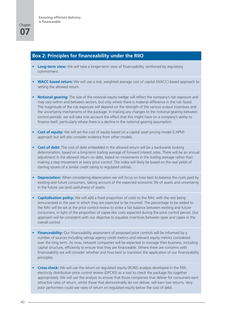#### **Box 2: Principles for financeability under the RIIO**

- Long-term view: We will take a longer-term view of financeability, reinforced by regulatory commitment.
- **• WACC based return:** We will use a real, weighted average cost of capital (WACC) based approach to setting the allowed return.
- **• Notional gearing:** The size of the notional equity wedge will reflect the company's risk exposure and may vary within and between sectors, but only where there is material difference in the risk faced. The magnitude of the risk exposure will depend on the strength of the various output incentives and the uncertainty mechanisms of the package. In making any changes to the notional gearing between control periods, we will take into account the effect that this might have on a company's ability to finance itself, particularly where there is a decline in the notional gearing assumption.
- **Cost of equity:** We will set the cost of equity based on a capital asset pricing model (CAPM) approach but will also consider evidence from other models.
- **• Cost of debt:** The cost of debt embedded in the allowed return will be a backwards looking determination, based on a long-term trailing average of forward interest rates. There will be an annual adjustment in the allowed return on debt, based on movements in the trailing average rather than making a step movement at every price control. The index will likely be based on the real yields of sterling issuers of a similar credit rating to regulated utilities.
- **•• Depreciation:** When considering depreciation we will focus on how best to balance the costs paid by existing and future consumers, taking account of the expected economic life of assets and uncertainty in the future use (and usefulness) of assets.
- **• Capitalisation policy:** We will add a fixed proportion of costs to the RAV, with the rest being remunerated in the year in which they are expected to be incurred. The percentage to be added to the RAV will be set at the price control review to strike a fair balance between existing and future consumers, in light of the proportion of capex-like costs expected during the price control period. Our approach will be consistent with our objective to equalise incentives between opex and capex in the overall control.
- **Financeability:** Our financeability assessment of proposed price controls will be informed by a number of sources including ratings agency credit metrics and relevant equity metrics considered over the long term. As now, network companies will be expected to manage their business, including capital structure, efficiently to ensure that they are financeable. Where there are concerns with financeability we will consider whether and how best to transition the application of our financeability principles.
- **• Cross-check:** We will use the return on regulated equity (RORE) analysis developed in the fifth electricity distribution price control review (DPCR5) as a tool to check the package fits together appropriately. We will use the analysis to ensure that those companies that deliver for consumers earn attractive rates of return, whilst those that demonstrably do not deliver, will earn low returns. Very poor performers could see rates of return on regulated equity below the cost of debt.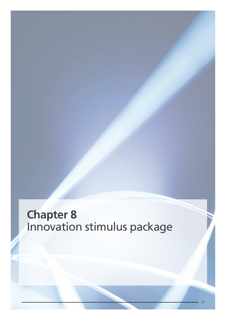### **Chapter 8** Innovation stimulus package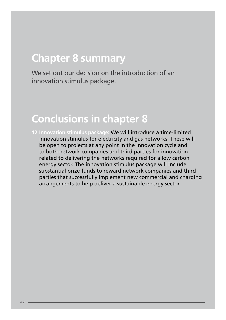### **Chapter 8 summary**

We set out our decision on the introduction of an innovation stimulus package.

#### **Conclusions in chapter 8**

**12 Innovation stimulus package:** We will introduce a time-limited innovation stimulus for electricity and gas networks. These will be open to projects at any point in the innovation cycle and to both network companies and third parties for innovation related to delivering the networks required for a low carbon energy sector. The innovation stimulus package will include substantial prize funds to reward network companies and third parties that successfully implement new commercial and charging arrangements to help deliver a sustainable energy sector.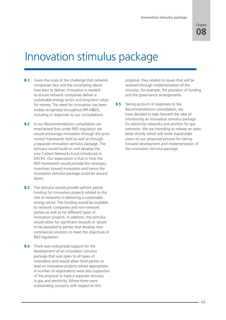**08 Chapter** 

### Innovation stimulus package

- **8.1** Given the scale of the challenge that network companies face and the uncertainty about how best to deliver, innovation is needed to ensure network companies deliver a sustainable energy sector and long-term value for money. The need for innovation has been widely recognised throughout RPI-X@20, including in responses to our consultations.
- **8.2** In our Recommendations consultation we emphasised that under RIIO regulation we would encourage innovation through the price control framework itself as well as through a separate innovation stimulus package. The stimulus would build on and develop the Low Carbon Networks Fund introduced in DPCR5. Our expectation is that in time the RIIO framework would provide the necessary incentives toward innovation and hence the innovation stimulus package could be wound down.
- **8.3** The stimulus would provide upfront partial funding for innovation projects related to the role of networks in delivering a sustainable energy sector. The funding would be available to network companies and non-network parties as well as for different types of innovation projects. In addition, the stimulus would allow for significant rewards or 'prizes' to be awarded to parties that develop new commercial solutions to meet the objectives of RIIO regulation.
- **8.4** There was widespread support for the development of an innovation stimulus package that was open to all types of innovation and would allow third parties to lead on innovative projects where appropriate. A number of respondents were also supportive of the proposal to have a separate stimulus in gas and electricity. Where there were outstanding concerns with respect to this

proposal, they related to issues that will be resolved through implementation of the stimulus, for example, the provision of funding and the governance arrangements.

**8.5** Taking account of responses to the Recommendations consultation, we have decided to take forward the idea of introducing an innovation stimulus package for electricity networks and another for gas networks. We are intending to release an open letter shortly which will invite stakeholder views on our proposed process for taking forward development and implementation of the innovation stimulus package.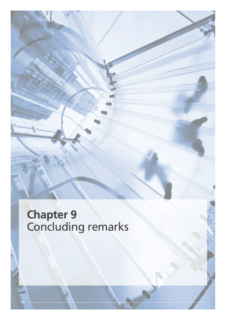### **Chapter 9** Concluding remarks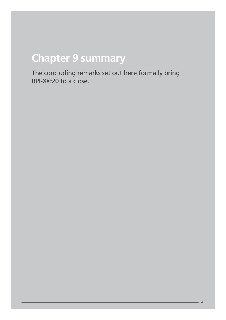## **Chapter 9 summary**

The concluding remarks set out here formally bring RPI-X@20 to a close.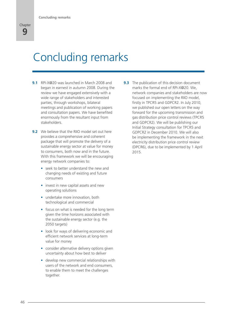# Concluding remarks

- **9.1** RPI-X@20 was launched in March 2008 and began in earnest in autumn 2008. During the review we have engaged extensively with a wide range of stakeholders and interested parties, through workshops, bilateral meetings and publication of working papers and consultation papers. We have benefited enormously from the resultant input from stakeholders.
- **9.2** We believe that the RIIO model set out here provides a comprehensive and coherent package that will promote the delivery of a sustainable energy sector at value for money to consumers, both now and in the future. With this framework we will be encouraging energy network companies to:
	- seek to better understand the new and changing needs of existing and future consumers
	- invest in new capital assets and new operating solutions
	- undertake more innovation, both technological and commercial
	- focus on what is needed for the long term given the time horizons associated with the sustainable energy sector (e.g. the 2050 targets)
	- look for ways of delivering economic and efficient network services at long-term value for money
	- consider alternative delivery options given uncertainty about how best to deliver
	- develop new commercial relationships with users of the network and end consumers, to enable them to meet the challenges together.

**9.3** The publication of this decision document marks the formal end of RPI-X@20. We, network companies and stakeholders are now focused on implementing the RIIO model, firstly in TPCR5 and GDPCR2. In July 2010, we published our open letters on the way forward for the upcoming transmission and gas distribution price control reviews (TPCR5 and GDPCR2). We will be publishing our Initial Strategy consultation for TPCR5 and GDPCR2 in December 2010. We will also be implementing the framework in the next electricity distribution price control review (DPCR6), due to be implemented by 1 April 2015.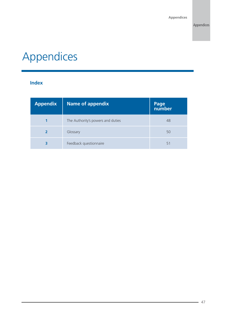# Appendices

#### **Index**

| <b>Appendix</b> | Name of appendix                  | Page<br>number |
|-----------------|-----------------------------------|----------------|
|                 | The Authority's powers and duties | 48             |
|                 | Glossary                          | 50             |
| 3               | Feedback questionnaire            | 51             |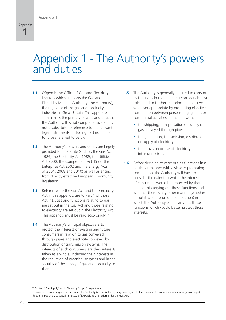### Appendix 1 - The Authority's powers and duties

- **1.1** Ofgem is the Office of Gas and Electricity Markets which supports the Gas and Electricity Markets Authority (the Authority), the regulator of the gas and electricity industries in Great Britain. This appendix summarises the primary powers and duties of the Authority. It is not comprehensive and is not a substitute to reference to the relevant legal instruments (including, but not limited to, those referred to below).
- **1.2** The Authority's powers and duties are largely provided for in statute (such as the Gas Act 1986, the Electricity Act 1989, the Utilities Act 2000, the Competition Act 1998, the Enterprise Act 2002 and the Energy Acts of 2004, 2008 and 2010) as well as arising from directly effective European Community legislation.
- **1.3** References to the Gas Act and the Electricity Act in this appendix are to Part 1 of those Act.<sup>22</sup> Duties and functions relating to gas are set out in the Gas Act and those relating to electricity are set out in the Electricity Act. This appendix must be read accordingly.<sup>23</sup>
- **1.4** The Authority's principal objective is to protect the interests of existing and future consumers in relation to gas conveyed through pipes and electricity conveyed by distribution or transmission systems. The interests of such consumers are their interests taken as a whole, including their interests in the reduction of greenhouse gases and in the security of the supply of gas and electricity to them.
- **1.5** The Authority is generally required to carry out its functions in the manner it considers is best calculated to further the principal objective, wherever appropriate by promoting effective competition between persons engaged in, or commercial activities connected with:
	- the shipping, transportation or supply of gas conveyed through pipes;
	- the generation, transmission, distribution or supply of electricity;
	- the provision or use of electricity interconnectors.
- **1.6** Before deciding to carry out its functions in a particular manner with a view to promoting competition, the Authority will have to consider the extent to which the interests of consumers would be protected by that manner of carrying out those functions and whether there is any other manner (whether or not it would promote competition) in which the Authority could carry out those functions which would better protect those interests.

<sup>&</sup>lt;sup>22</sup> Entitled "Gas Supply" and "Electricity Supply" respectively

<sup>&</sup>lt;sup>23</sup> However, in exercising a function under the Electricity Act the Authority may have regard to the interests of consumers in relation to gas conveyed through pipes and vice versa in the case of it exercising a function under the Gas Act.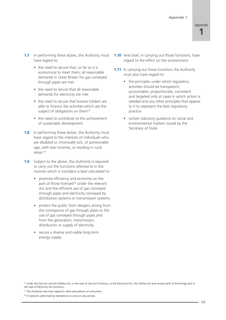- **1.7** In performing these duties, the Authority must have regard to:
	- the need to secure that, so far as it is economical to meet them, all reasonable demands in Great Britain for gas conveyed through pipes are met
	- the need to secure that all reasonable demands for electricity are met
	- the need to secure that licence holders are able to finance the activities which are the subject of obligations on them<sup>24</sup>
	- the need to contribute to the achievement of sustainable development.
- **1.8** In performing these duties, the Authority must have regard to the interests of individuals who are disabled or chronically sick, of pensionable age, with low incomes, or residing in rural areas.25
- **1.9** Subject to the above, the Authority is required to carry out the functions referred to in the manner which it considers is best calculated to:
	- promote efficiency and economy on the part of those licensed<sup>26</sup> under the relevant Act and the efficient use of gas conveyed through pipes and electricity conveyed by distribution systems or transmission systems
	- protect the public from dangers arising from the conveyance of gas through pipes or the use of gas conveyed through pipes and from the generation, transmission, distribution or supply of electricity
	- secure a diverse and viable long-term energy supply.
- **1.10** And shall, in carrying out those functions, have regard to the effect on the environment.
- **1.11** In carrying out these functions the Authority must also have regard to:
	- the principles under which regulatory activities should be transparent, accountable, proportionate, consistent and targeted only at cases in which action is needed and any other principles that appear to it to represent the best regulatory practice
	- certain statutory guidance on social and environmental matters issued by the Secretary of State.

<sup>&</sup>lt;sup>24</sup> Under the Gas Act and the Utilities Act, in the case of Gas Act functions, or the Electricity Act, the Utilities Act and certain parts of the Energy Acts in the case of Electricity Act functions.

<sup>&</sup>lt;sup>25</sup> The Authority may have regard to other descriptions of consumers.

<sup>&</sup>lt;sup>26</sup> Or persons authorised by exemptions to carry on any activity.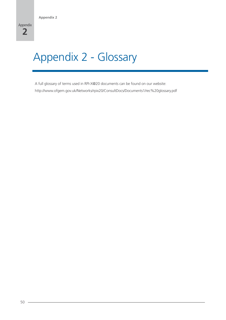# Appendix 2 - Glossary

A full glossary of terms used in RPI-X@20 documents can be found on our website: http://www.ofgem.gov.uk/Networks/rpix20/ConsultDocs/Documents1/rec%20glossary.pdf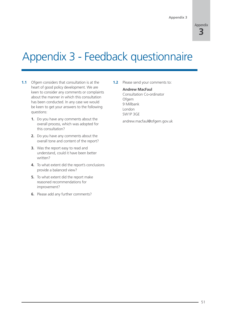

## Appendix 3 - Feedback questionnaire

- **1.1** Ofgem considers that consultation is at the heart of good policy development. We are keen to consider any comments or complaints about the manner in which this consultation has been conducted. In any case we would be keen to get your answers to the following questions:
	- **1.** Do you have any comments about the overall process, which was adopted for this consultation?
	- **2.** Do you have any comments about the overall tone and content of the report?
	- **3.** Was the report easy to read and understand, could it have been better written?
	- **4.** To what extent did the report's conclusions provide a balanced view?
	- **5.** To what extent did the report make reasoned recommendations for improvement?
	- **6.** Please add any further comments?

**1.2** Please send your comments to:

#### **Andrew MacFaul**

Consultation Co-ordinator **Ofgem** 9 Millbank London SW1P 3GE

andrew.macfaul@ofgem.gov.uk